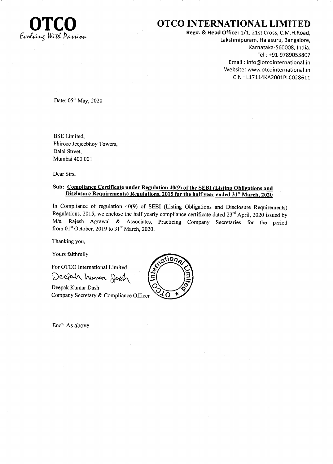

## OTCO INTERNATIONAL LIMITED

Regd. & Head Office: 1/1, 21st Cross, C.M.H.Road. Lakshmipuram, Halasuru, Bangalore, Karnataka-560008, India. Tel : +91-9789053807 Email : info@otcointernational.in Website: www.otcointernational.in CIN : 117114KA2001P1C028671.

Date:  $05<sup>th</sup>$  May, 2020

BSE Limited, Phiroze Jeejeebhoy Towers, Dalal Street, Mumbai 400 001

Dear Sirs,

### Disclosure Requirements) Regulations, 2015 for the half year ended 31<sup>st</sup> March, 2020 Sub: Compliance Certificate under Regulation 40(9) of the SEBI (Listing Obligations and

In Compliance of regulation 40(9) of SEBI (Listing Obligations and Disclosure Requirements) Regulations, 2015, we enclose the half yearly compliance certificate dated 23<sup>rd</sup> April, 2020 issued by M/s. Rajesh Agrawal & Associates, Practicing Company Secretaries for the period from  $01<sup>st</sup>$  October, 2019 to  $31<sup>st</sup>$  March, 2020.

Thanking you,

Yours faithfully

For OTCO International Limited Deepah humar Dosh

Deepak Kumar Dash Company Secretary & Compliance Officer

Encl: As above